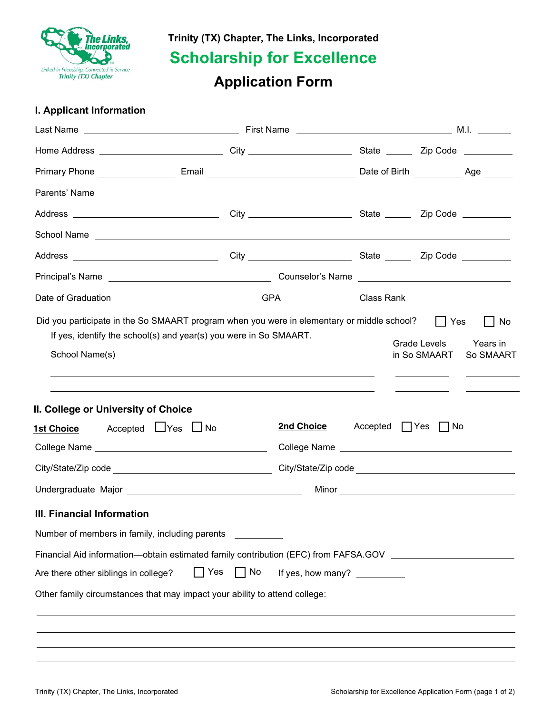

**Trinity (TX) Chapter, The Links, Incorporated**

**Scholarship for Excellence**

# **Application Form**

# **I. Applicant Information**

| Home Address ______________________________City ________________________State ________Zip Code __________                                                                                                                      |           |                             |                              |                                                  |                       |
|--------------------------------------------------------------------------------------------------------------------------------------------------------------------------------------------------------------------------------|-----------|-----------------------------|------------------------------|--------------------------------------------------|-----------------------|
|                                                                                                                                                                                                                                |           |                             |                              |                                                  |                       |
|                                                                                                                                                                                                                                |           |                             |                              |                                                  |                       |
|                                                                                                                                                                                                                                |           |                             |                              |                                                  |                       |
| School Name experience and the second second second second second second second second second second second second second second second second second second second second second second second second second second second se |           |                             |                              |                                                  |                       |
|                                                                                                                                                                                                                                |           |                             |                              |                                                  |                       |
|                                                                                                                                                                                                                                |           |                             |                              |                                                  |                       |
| Date of Graduation ___________________________                                                                                                                                                                                 |           | GPA Class Rank CLASS Number |                              |                                                  |                       |
| If yes, identify the school(s) and year(s) you were in So SMAART.<br>School Name(s)<br>II. College or University of Choice<br>Accepted LJYes LJNo<br><b>1st Choice</b>                                                         |           | 2nd Choice                  | $Accepted$ $\vert \vert$ Yes | Grade Levels<br>in So SMAART<br>$\vert \vert$ No | Years in<br>So SMAART |
|                                                                                                                                                                                                                                |           |                             |                              |                                                  |                       |
|                                                                                                                                                                                                                                |           |                             |                              |                                                  |                       |
|                                                                                                                                                                                                                                |           |                             |                              |                                                  |                       |
| III. Financial Information                                                                                                                                                                                                     |           |                             |                              |                                                  |                       |
| Number of members in family, including parents                                                                                                                                                                                 |           |                             |                              |                                                  |                       |
| Financial Aid information—obtain estimated family contribution (EFC) from FAFSA.GOV ______________________                                                                                                                     |           |                             |                              |                                                  |                       |
| Are there other siblings in college?                                                                                                                                                                                           | Yes<br>No | If yes, how many?           |                              |                                                  |                       |
| Other family circumstances that may impact your ability to attend college:                                                                                                                                                     |           |                             |                              |                                                  |                       |
|                                                                                                                                                                                                                                |           |                             |                              |                                                  |                       |
|                                                                                                                                                                                                                                |           |                             |                              |                                                  |                       |